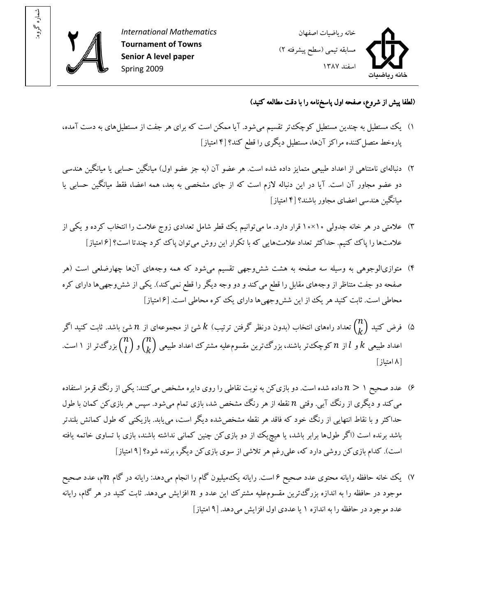

: شماره گروه



(لطفا پيش از شروع، صفحه اول پاسخ نامه را با دقت مطالعه کنيد)

- ۱) يک مستطيل به چندين مستطيل کوچکت ر تقسيم مي شود. آيا ممکن است که براي هر جفت از مستطيل هاي به دست آمده، پارهخط متصل کننده مراکز آنها، مستطيل ديگري را قطع کند؟ [۴ امتياز]
- )۲ دنبالهاي نامتناهي از اعداد طبيعي متمايز داده شده است. هر عضو آن (به جز عضو اول) ميانگين حسابي يا ميانگين هندسي دو عضو مجاور آن است. آيا در اين دنباله لازم است که از جاي مشخصي به بعد، همه اعضا، فقط ميانگين حسابي يا ميانگين هندسي اعضاي مجاور باشند؟ ۴[ امتيا ]ز
- ۳) علامتی در هر خانه جدولی ۱۰×۱۰ قرار دارد. ما می توانیم یک قطر شامل تعدادی زوج علامت را انتخاب کرده و یکی از علامتها را پاک کنيم. حداکثر تعداد علامتهايي که با تکرار اين روش مي توان پاک کرد چندتا است؟ [۶ امتياز]
- ۴) متوازىالوجوهى به وسيله سه صفحه به هشت ششeجهى تقسيم مىشود که همه وجههاى آنها چهارضلعى است (هر صفحه دو جفت متناظر از وجههاى مقابل را قطع مى کند و دو وجه ديگر را قطع نمى کند). يکى از شش<code>وجهى</code>ها داراى کره محاطي است. ثابت کنيد هر يک از اين شش وجهي ها داراي يک ککره محاطي است. [۶|متياز]
- ۵) فرض کنید  $\displaystyle {{n}\choose{k}}$  تعداد راههای انتخاب (بدون درنظر گرفتن ترتیب)  $k$  شئ از مجموعهای از  $n$  شئ باشد. ثابت کنید اگر<br>پینیسی اعداد طبیعی  $k$  و  $l$  از  $n$  کوچک تر باشند، بزرگ ترین مقسوم $aلیه مشترک اعداد طبیعی  ${n \choose k}$ و  ${n \choose l}$ بزرگ تر از ۱ است.$ ۸[ امتياز]
- ۶) عدد صحيح ۱  $n > n$  داده شده است. دو بازى کن به نوبت نقاطى را روى دايره مشخص مى کنند: يکى از رنگ قرمز استفاده می کند و دیگری از رنگ آبی. وقتی n نقطه از هر رنگ مشخص شد، بازی تمام میشود. سپس هر بازی کن کمان با طول حداکثر و با نقاط انتهايي از رنگ خود که فاقد هر نقطه مشخص شده ديگر است، مييابد . بازيکني که طول کمانش بلندتر باشد برنده است (اگر طولها برابر باشد، يا هيچيک از دو بازيکن چنين کماني نداشته باشند، بازي با تساوي خاتمه يافته است). کدام بازيکن روشي دارد که، عليرغم هر تلاشي از سوي بازيکن ديگر، برنده شود؟ ۹[ امتياز]
- ۷) يک خانه حافظه رايانه محتوى عدد صحيح ۶ است. رايانه يک<code>ميليون گام را انجام ممیدهد: رايانه در گام m</code>م، عدد صحيح موجود در حافظه را به اندازه بزرگ ترين مقسوم عليه مشترک اين عدد و n افزايش مىدهد. ثابت کنيد در هر گام، رايانه عدد موجود در حافظه را به اندازه ۱ یا عددی اول افزايش می دهد. [۹ امتياز]